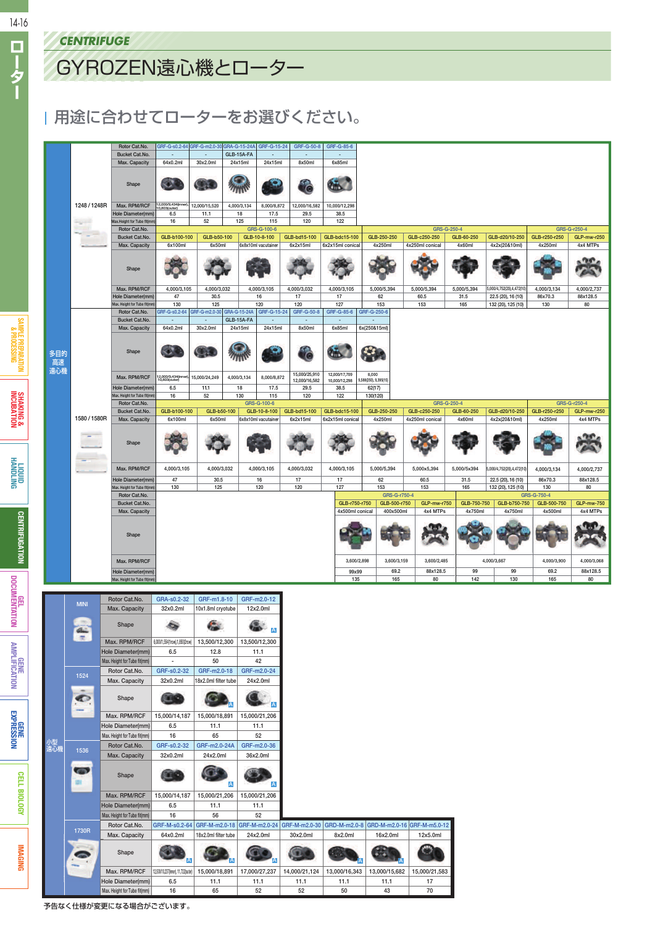ローター

**SHAKING & INCUBATION**

**LIQUID**<br>HANDLING

**DOCUMENTATION AMPLIFICATION**<br>DOCUMENTATION AMPLIFICATION

**GENE<br>EXPRESSION** 

## GYROZEN遠心機とローター

## 用途に合わせてローターをお選びください。

|                  |              | <b>CENTRIFUGE</b>                 |                                                                  |                                                  |                                       |                                       |                                                    |                              |                                   |                                            |                           |                                                                                  |                                                 |                                          |                          |                                                |
|------------------|--------------|-----------------------------------|------------------------------------------------------------------|--------------------------------------------------|---------------------------------------|---------------------------------------|----------------------------------------------------|------------------------------|-----------------------------------|--------------------------------------------|---------------------------|----------------------------------------------------------------------------------|-------------------------------------------------|------------------------------------------|--------------------------|------------------------------------------------|
|                  |              |                                   | GYROZEN遠心機とローター                                                  |                                                  |                                       |                                       |                                                    |                              |                                   |                                            |                           |                                                                                  |                                                 |                                          |                          |                                                |
|                  |              |                                   |                                                                  |                                                  |                                       |                                       |                                                    |                              |                                   |                                            |                           |                                                                                  |                                                 |                                          |                          |                                                |
|                  |              |                                   | 用途に合わせてローターをお選びください。                                             |                                                  |                                       |                                       |                                                    |                              |                                   |                                            |                           |                                                                                  |                                                 |                                          |                          |                                                |
|                  |              |                                   |                                                                  |                                                  |                                       |                                       |                                                    |                              |                                   |                                            |                           |                                                                                  |                                                 |                                          |                          |                                                |
|                  |              |                                   | Rotor Cat.No.<br>Bucket Cat.No.                                  | GRF-G-s0.2-64<br>$\overline{\phantom{a}}$        | GRF-G-m2.0-30<br>$\sim$               | GRA-G-15-24A<br>GLB-15A-FA            | GRF-G-15-24<br>$\sim$                              | GRF-G-50-8<br>$\sim$         | GRF-G-85-6<br>$\sim$              |                                            |                           |                                                                                  |                                                 |                                          |                          |                                                |
|                  |              |                                   | Max. Capacity                                                    | 64x0.2ml                                         | 30x2.0ml                              | 24x15ml                               | 24x15ml                                            | 8x50ml                       | 6x85ml                            |                                            |                           |                                                                                  |                                                 |                                          |                          |                                                |
|                  |              |                                   | Shape                                                            |                                                  |                                       |                                       |                                                    | ċ                            | à.                                |                                            |                           |                                                                                  |                                                 |                                          |                          |                                                |
|                  |              | 1248 / 1248R<br>₩                 | Max. RPM/RCF<br>Hole Diameter(mm)<br>Max.Height for Tube fit(mr  | .000/9,434(inne<br>),803(outer)<br>6.5<br>16     | 12,000/15,520<br>11.1<br>52           | 4,000/3,134<br>18<br>125              | 8,000/8,872<br>17.5<br>115                         | 12,000/16,582<br>29.5<br>120 | 10,000/12,298<br>38.5<br>122      |                                            |                           |                                                                                  |                                                 |                                          |                          |                                                |
|                  |              |                                   | Rotor Cat.No.<br>Bucket Cat.No.<br>Max. Capacity                 | GLB-b100-100<br>6x100ml                          | GLB-b50-100<br>6x50ml                 |                                       | GRS-G-100-6<br>GLB-10-8-100<br>6x8x10ml vacutainer | GLB-bd15-100<br>6x2x15ml     | GLB-bdc15-100<br>6x2x15ml conical | GLB-250-250<br>4x250ml                     |                           | GLB-c250-250<br>4x250ml conical                                                  | GRS-G-250-4<br>GLB-60-250<br>4x60ml             | GLB-d20/10-250<br>4x2x(20&10ml)          | GLB-r250-r250<br>4x250ml | GRS-G-r250-4<br><b>GLP-mw-r250</b><br>4x4 MTPs |
|                  |              |                                   |                                                                  |                                                  |                                       |                                       |                                                    |                              |                                   |                                            |                           |                                                                                  |                                                 |                                          |                          |                                                |
|                  |              |                                   | Shape<br>Max. RPM/RCF                                            | 4,000/3,105                                      | 4.000/3.032                           |                                       | 4,000/3,105                                        | 4,000/3,032                  | 4,000/3,105                       | 5,000/5,394                                |                           | 5,000/5,394                                                                      | 5,000/5,394                                     | 6,000/4,752(20),4,472(10                 | 4,000/3,134              | 4.000/2.737                                    |
|                  |              |                                   | Hole Diameter(mm)<br>Max. Height for Tube fit(mr                 | 47<br>130                                        | 30.5<br>125                           |                                       | 16<br>120                                          | 17<br>120                    | 17<br>127                         | 62<br>153                                  |                           | 60.5<br>153                                                                      | 31.5<br>165                                     | 22.5 (20), 16 (10)<br>132 (20), 125 (10) | 86x70.3<br>130           | 88x128.5<br>80                                 |
|                  |              |                                   | Rotor Cat.No.<br><b>Bucket Cat.No.</b><br>Max. Capacity          | G-s0.2-64<br>64x0.2ml                            | GRF-G-m2.0-30<br>30x2.0ml             | GRA-G-15-24A<br>GLB-15A-FA<br>24x15ml | GRF-G-15-24<br>24x15ml                             | GRF-G-50-8<br>8x50ml         | GRF-G-85-6<br>÷,<br>6x85ml        | GRF-G-250-6<br>6x(250&15ml)                |                           |                                                                                  |                                                 |                                          |                          |                                                |
| 多目的<br>高速<br>遠心機 |              | Shape                             |                                                                  | UX.                                              |                                       |                                       |                                                    |                              |                                   |                                            |                           |                                                                                  |                                                 |                                          |                          |                                                |
|                  |              |                                   |                                                                  |                                                  |                                       |                                       | 15,000/25,910                                      | 12,000/17,709                | 8,000                             |                                            |                           |                                                                                  |                                                 |                                          |                          |                                                |
|                  |              |                                   | Max. RPM/RCF<br>Hole Diameter(mm)<br>Max. Height for Tube fit(mr | l 2,000/9,434(inn)<br>10,803(outer)<br>6.5<br>16 | 15,000/24,249<br>11.1<br>52           | 4,000/3,134<br>18<br>130              | 8,000/8,872<br>17.5<br>115                         | 12,000/16,582<br>29.5<br>120 | 10,000/12,298<br>38.5<br>122      | ,588(250), 9,395(15)<br>62(17)<br>130(120) |                           |                                                                                  |                                                 |                                          |                          |                                                |
|                  |              |                                   | Rotor Cat.No.<br>Bucket Cat.No.                                  | GLB-b100-100                                     | GLB-b50-100                           |                                       | GRS-G-100-6<br>GLB-10-8-100                        | GLB-bd15-100                 | GLB-bdc15-100                     | GLB-250-250                                |                           | GLB-c250-250                                                                     | GRS-G-250-4<br>GLB-60-250                       | GLB-d20/10-250                           | GLB-r250-r250            | GRS-G-r250-4<br>GLP-mw-r250                    |
|                  | 1580 / 1580R | Max. Capacity                     | 6x100ml                                                          | 6x50ml                                           |                                       | 6x8x10ml vacutainer                   | 6x2x15ml                                           | 6x2x15ml conical             | 4x250ml                           |                                            | 4x250ml conical           | 4x60ml                                                                           | 4x2x(20&10ml)                                   | 4x250ml                                  | 4x4 MTPs                 |                                                |
|                  |              |                                   | Shape                                                            |                                                  |                                       |                                       |                                                    |                              |                                   |                                            |                           |                                                                                  |                                                 |                                          |                          |                                                |
|                  |              | Max. RPM/RCF<br>Hole Diameter(mm) | 4,000/3,105<br>47                                                | 4,000/3,032<br>30.5                              |                                       | 4,000/3,105<br>16                     | 4,000/3,032<br>17                                  | 4,000/3,105<br>17            | 5,000/5,394<br>62                 |                                            | 5,000x5,394<br>60.5       | 5,000/5x394<br>31.5                                                              | 5,000/4,752(20),4,472(10)<br>22.5 (20), 16 (10) | 4,000/3,134<br>86x70.3                   | 4,000/2,737<br>88x128.5  |                                                |
|                  |              |                                   | Max. Height for Tube fit(mn<br>Rotor Cat.No.                     | 130                                              | 125                                   |                                       | 120                                                | 120                          | 127                               | 153                                        | GRS-G-r750-4              | 153                                                                              | 165<br>GLB-750-750                              | 132 (20), 125 (10)                       | 130<br>GRS-G-750-4       | 80                                             |
|                  |              |                                   | Bucket Cat.No.<br>Max. Capacity                                  |                                                  |                                       |                                       |                                                    |                              | GLB-r750-r750<br>4x500ml conical  |                                            | GLB-500-r750<br>400x500ml | <b>GLP-mw-r750</b><br>4x4 MTPs                                                   | 4x750ml                                         | GLB-b750-750<br>4x750ml                  | GLB-500-750<br>4x500ml   | <b>GLP-mw-750</b><br>4x4 MTPs                  |
|                  |              |                                   | Shape                                                            |                                                  |                                       |                                       |                                                    |                              |                                   |                                            |                           | <b>GARD</b>                                                                      |                                                 |                                          |                          | <b>TATA</b>                                    |
|                  |              |                                   | Max. RPM/RCF                                                     |                                                  |                                       |                                       |                                                    |                              |                                   | 3,600/2,898                                | 3,600/3,159               | 3,600/2,485                                                                      |                                                 | 4,000/3,667                              | 4,000/3,900              | 4,000/3,068                                    |
|                  |              |                                   | Hole Diameter(mm)<br>Max. Height for Tube fit(mn                 |                                                  |                                       |                                       |                                                    |                              | 99x99<br>135                      |                                            | 69.2<br>165               | 88x128.5<br>80                                                                   | 99<br>142                                       | 99<br>130                                | 69.2<br>165              | 88x128.5<br>80                                 |
|                  |              | <b>MINI</b>                       | Rotor Cat.No.<br>Max. Capacity                                   | GRA-s0.2-32<br>32x0.2ml                          | GRF-m1.8-10<br>10x1.8ml cryotube      |                                       | GRF-m2.0-12<br>12x2.0ml                            |                              |                                   |                                            |                           |                                                                                  |                                                 |                                          |                          |                                                |
|                  |              |                                   | Shape                                                            |                                                  |                                       |                                       | A                                                  |                              |                                   |                                            |                           |                                                                                  |                                                 |                                          |                          |                                                |
|                  |              | 园                                 | Max. RPM/RCF<br>Hole Diameter(mm)                                | 6,000/1,554(1row),1,850(2row)<br>6.5             | 13,500/12,300<br>12.8                 |                                       | 13,500/12,300<br>11.1                              |                              |                                   |                                            |                           |                                                                                  |                                                 |                                          |                          |                                                |
|                  |              |                                   | Max. Height for Tube fit(mm)<br>Rotor Cat.No.                    | $\sim$<br>GRF-s0.2-32                            | 50<br>GRF-m2.0-18                     |                                       | 42<br>GRF-m2.0-24                                  |                              |                                   |                                            |                           |                                                                                  |                                                 |                                          |                          |                                                |
|                  |              | 1524                              | Max. Capacity                                                    | 32x0.2ml                                         | 18x2.0ml filter tube                  |                                       | 24x2.0ml                                           |                              |                                   |                                            |                           |                                                                                  |                                                 |                                          |                          |                                                |
|                  |              | <b>CO</b>                         | Shape<br>Max. RPM/RCF                                            | 15,000/14,187                                    | 15,000/18,891                         |                                       | $\overline{A}$<br>15,000/21,206                    |                              |                                   |                                            |                           |                                                                                  |                                                 |                                          |                          |                                                |
|                  |              |                                   | Hole Diameter(mm)<br>Max. Height for Tube fit(mm)                | 6.5<br>16                                        | 11.1<br>65                            |                                       | 11.1<br>52                                         |                              |                                   |                                            |                           |                                                                                  |                                                 |                                          |                          |                                                |
|                  | 小型<br>遠心機    | 1536                              | Rotor Cat.No.<br>Max. Capacity                                   | GRF-s0.2-32<br>32x0.2ml                          | GRF-m2.0-24A<br>24x2.0ml              |                                       | GRF-m2.0-36<br>36x2.0ml                            |                              |                                   |                                            |                           |                                                                                  |                                                 |                                          |                          |                                                |
|                  |              | <b>COLOR</b>                      | Shape                                                            |                                                  |                                       |                                       |                                                    |                              |                                   |                                            |                           |                                                                                  |                                                 |                                          |                          |                                                |
|                  |              | 뺴                                 | Max. RPM/RCF                                                     | 15,000/14,187                                    | 15,000/21,206                         | $\overline{A}$                        | $\overline{A}$<br>15,000/21,206                    |                              |                                   |                                            |                           |                                                                                  |                                                 |                                          |                          |                                                |
|                  |              |                                   | Hole Diameter(mm)<br>Max. Height for Tube fit(mm)                | 6.5<br>16                                        | 11.1<br>56                            |                                       | 11.1<br>52                                         |                              |                                   |                                            |                           |                                                                                  |                                                 |                                          |                          |                                                |
|                  |              | 1730R                             | Rotor Cat.No.<br>Max. Capacity                                   | GRF-M-s0.2-64<br>64x0.2ml                        | GRF-M-m2.0-18<br>18x2.0ml filter tube |                                       | 24x2.0ml                                           | 30x2.0ml                     | 8x2.0ml                           | 16x2.0ml                                   |                           | GRF-M-m2.0-24 GRF-M-m2.0-30 GRD-M-m2.0-8 GRD-M-m2.0-16 GRF-M-m5.0-12<br>12x5.0ml |                                                 |                                          |                          |                                                |
|                  |              |                                   | Shape                                                            |                                                  |                                       |                                       |                                                    |                              |                                   |                                            |                           |                                                                                  |                                                 |                                          |                          |                                                |
|                  |              |                                   |                                                                  |                                                  |                                       |                                       |                                                    |                              |                                   |                                            |                           |                                                                                  |                                                 |                                          |                          |                                                |

|           |       | Max. RPM/RCF                 | 6,000/1,554(1row),1,850(2row)       | 13,500/12,300        | 13,500/12,300 |               |               |               |                                          |
|-----------|-------|------------------------------|-------------------------------------|----------------------|---------------|---------------|---------------|---------------|------------------------------------------|
|           |       | Hole Diameter(mm)            | 6.5                                 | 12.8                 | 11.1          |               |               |               |                                          |
|           |       | Max. Height for Tube fit(mm) | ä,                                  | 50                   | 42            |               |               |               |                                          |
|           | 1524  | Rotor Cat.No.                | GRF-s0.2-32                         | GRF-m2.0-18          | GRF-m2.0-24   |               |               |               |                                          |
|           |       | Max. Capacity                | 32x0.2ml                            | 18x2.0ml filter tube | 24x2.0ml      |               |               |               |                                          |
|           |       | Shape                        |                                     |                      |               |               |               |               |                                          |
|           |       | Max. RPM/RCF                 | 15,000/14,187                       | 15,000/18,891        | 15,000/21,206 |               |               |               |                                          |
|           |       | Hole Diameter(mm)            | 6.5                                 | 11.1                 | 11.1          |               |               |               |                                          |
|           |       | Max. Height for Tube fit(mm) | 16                                  | 65                   | 52            |               |               |               |                                          |
| 小型<br>遠心機 | 1536  | Rotor Cat.No.                | GRF-s0.2-32                         | GRF-m2.0-24A         | GRF-m2.0-36   |               |               |               |                                          |
|           |       | Max. Capacity                | 32x0.2ml                            | 24x2.0ml             | 36x2.0ml      |               |               |               |                                          |
|           |       | Shape                        |                                     | $\overline{A}$       |               |               |               |               |                                          |
|           |       | Max. RPM/RCF                 | 15,000/14,187                       | 15,000/21,206        | 15,000/21,206 |               |               |               |                                          |
|           |       | Hole Diameter(mm)            | 6.5                                 | 11.1                 | 11.1          |               |               |               |                                          |
|           |       | Max. Height for Tube fit(mm) | 16                                  | 56                   | 52            |               |               |               |                                          |
|           | 1730R | Rotor Cat.No.                | GRF-M-s0.2-64                       | GRF-M-m2.0-18        | GRF-M-m2.0-24 | GRF-M-m2.0-30 |               |               | GRD-M-m2.0-8 GRD-M-m2.0-16 GRF-M-m5.0-12 |
|           |       | Max. Capacity                | 64x0.2ml                            | 18x2.0ml filter tube | 24x2.0ml      | 30x2.0ml      | 8x2.0ml       | 16x2.0ml      | 12x5.0ml                                 |
|           |       | Shape                        |                                     |                      |               |               |               |               |                                          |
|           |       | Max. RPM/RCF                 | 12,500/10,237(inner), 11,722(outer) | 15,000/18,891        | 17,000/27,237 | 14,000/21,124 | 13,000/16,343 | 13,000/15,682 | 15,000/21,583                            |
|           |       | Hole Diameter(mm)            | 6.5                                 | 11.1                 | 11.1          | 11.1          | 11.1          | 11.1          | 17                                       |
|           |       | Max. Height for Tube fit(mm) | 16                                  | 65                   | 52            | 52            | 50            | 43            | 70                                       |

予告なく仕様が変更になる場合がございます。